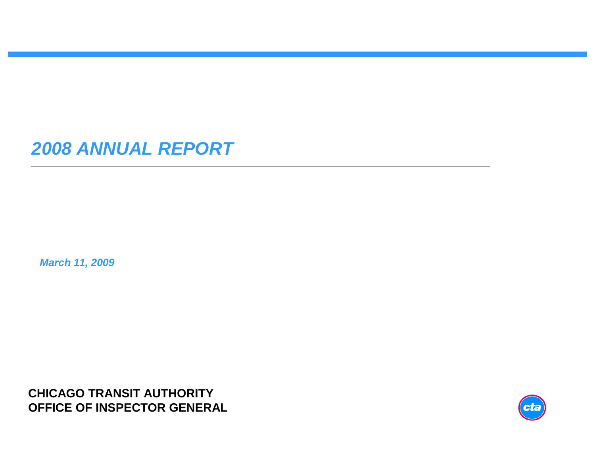### **2008 ANNUAL REPORT**

**March 11, 2009**

**CHICAGO TRANSIT AUTHORITYOFFICE OF INSPECTOR GENERAL**

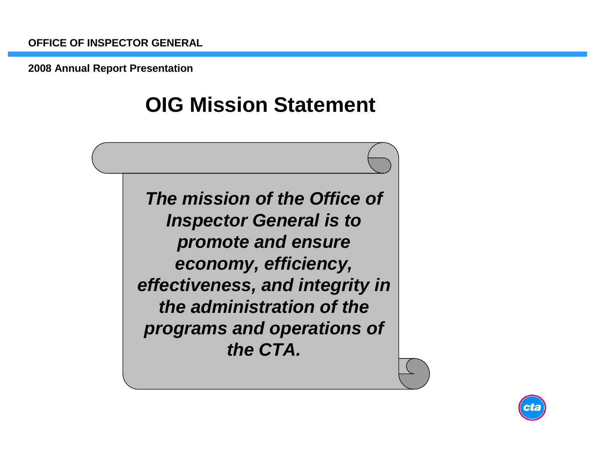# **OIG Mission Statement**

**The mission of the Office of Inspector General is to promote and ensure economy, efficiency, effectiveness, and integrity in the administration of the programs and operations of the CTA.**

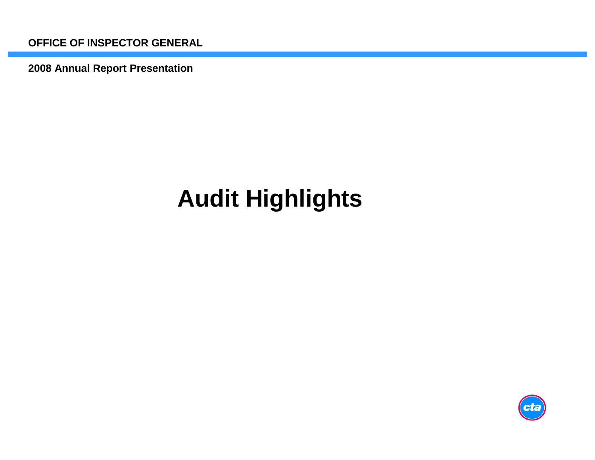**2008 Annual Report Presentation**

# **Audit Highlights**

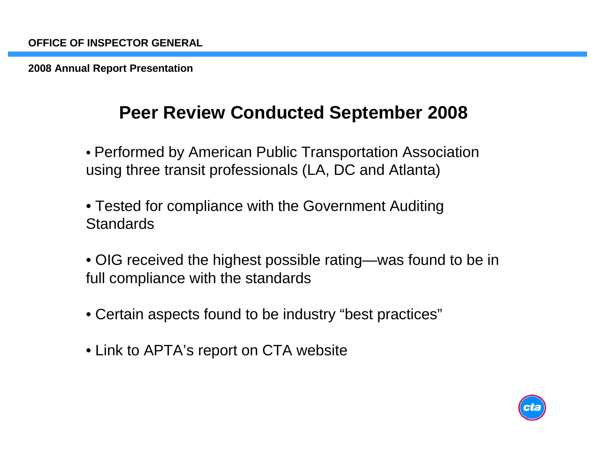### **Peer Review Conducted September 2008**

• Performed by American Public Transportation Association using three transit professionals (LA, DC and Atlanta)

- Tested for compliance with the Government Auditing**Standards**
- OIG received the highest possible rating—was found to be in full compliance with the standards
- Certain aspects found to be industry "best practices"
- Link to APTA's report on CTA website

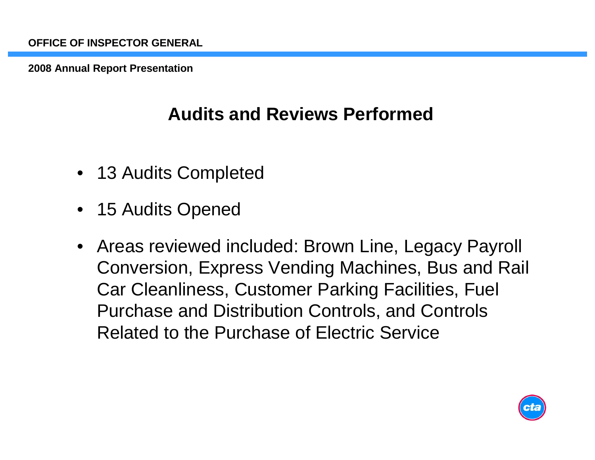## **Audits and Reviews Performed**

- 13 Audits Completed
- 15 Audits Opened
- • Areas reviewed included: Brown Line, Legacy Payroll Conversion, Express Vending Machines, Bus and Rail Car Cleanliness, Customer Parking Facilities, Fuel Purchase and Distribution Controls, and Controls Related to the Purchase of Electric Service

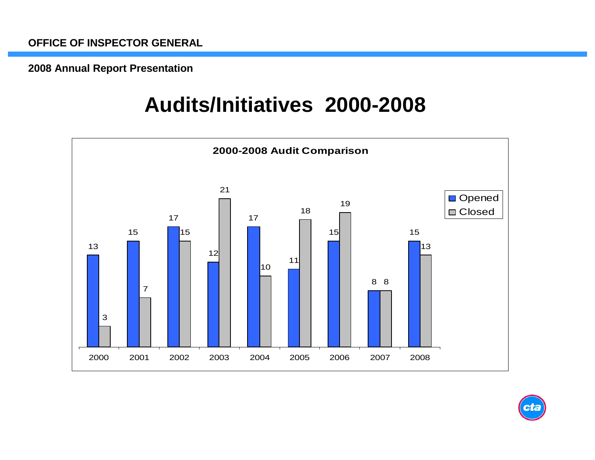# **Audits/Initiatives 2000-2008**



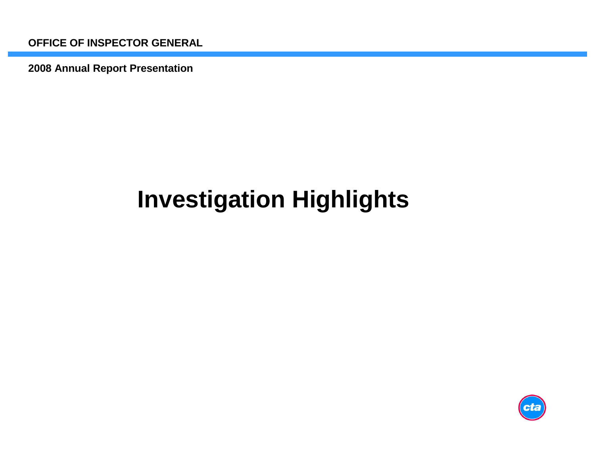**2008 Annual Report Presentation**

# **Investigation Highlights**

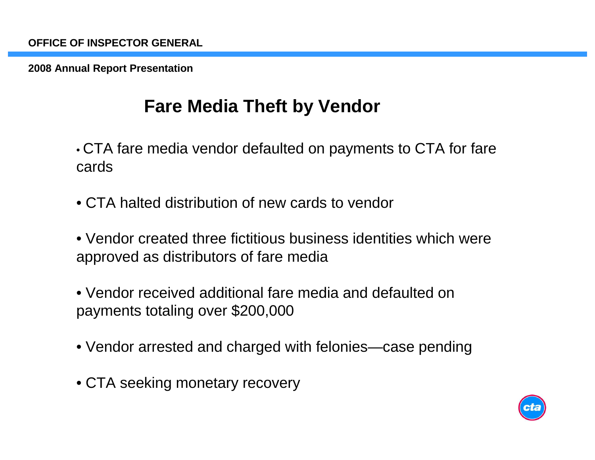## **Fare Media Theft by Vendor**

• CTA fare media vendor defaulted on payments to CTA for fare cards

• CTA halted distribution of new cards to vendor

• Vendor created three fictitious business identities which were approved as distributors of fare media

- Vendor received additional fare media and defaulted on payments totaling over \$200,000
- Vendor arrested and charged with felonies—case pending
- CTA seeking monetary recovery

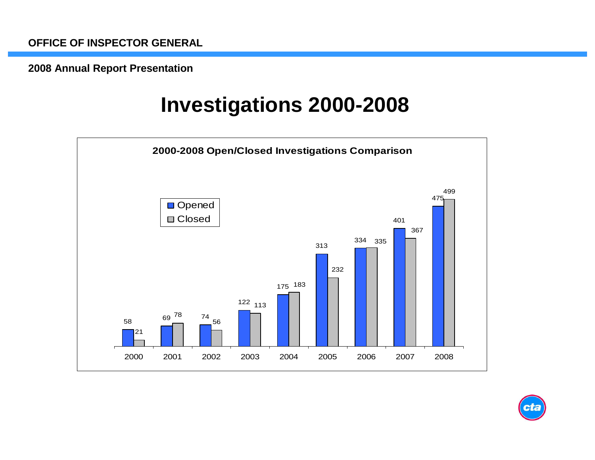# **Investigations 2000-2008**



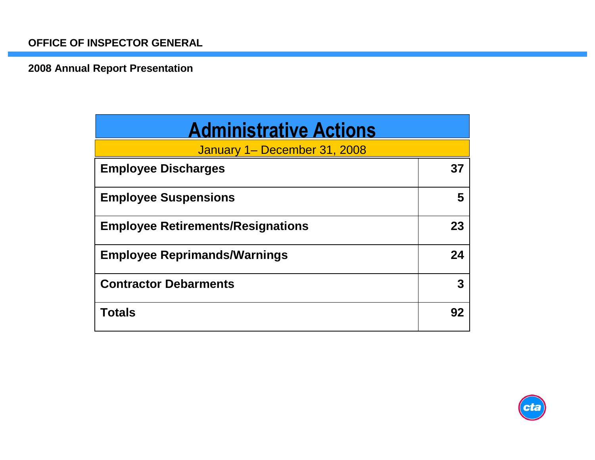| <b>Administrative Actions</b>            |    |
|------------------------------------------|----|
| January 1– December 31, 2008             |    |
| <b>Employee Discharges</b>               | 37 |
| <b>Employee Suspensions</b>              | 5  |
| <b>Employee Retirements/Resignations</b> | 23 |
| <b>Employee Reprimands/Warnings</b>      | 24 |
| <b>Contractor Debarments</b>             | 3  |
| <b>Totals</b>                            | 92 |

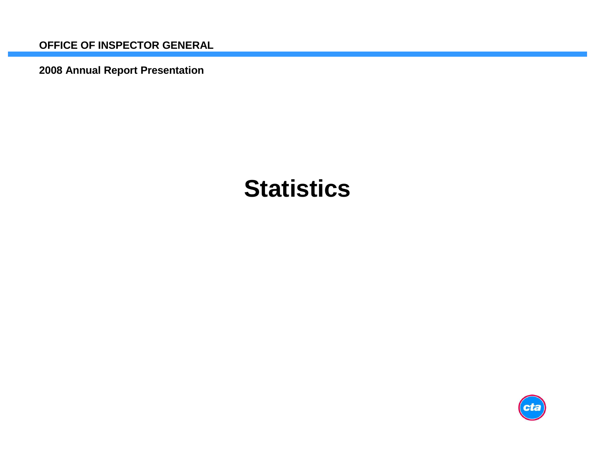**2008 Annual Report Presentation**

# **Statistics**

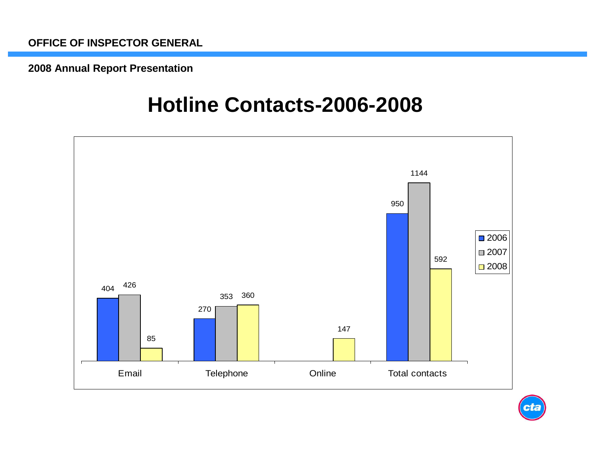## **Hotline Contacts-2006-2008**



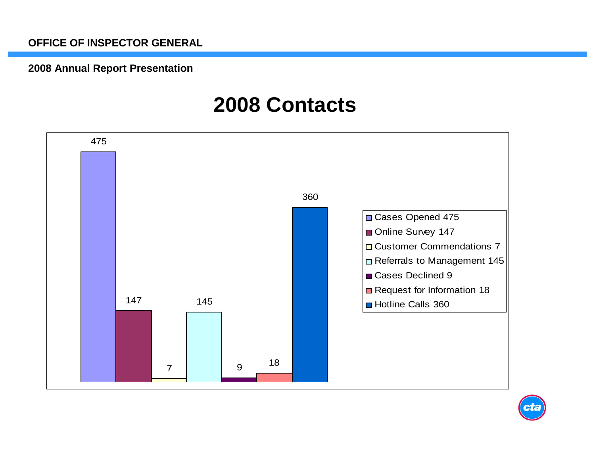#### **2008 Annual Report Presentation**

## **2008 Contacts**

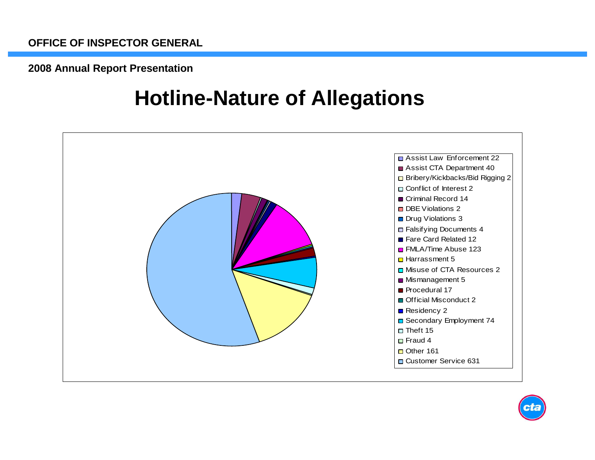# **Hotline-Nature of Allegations**

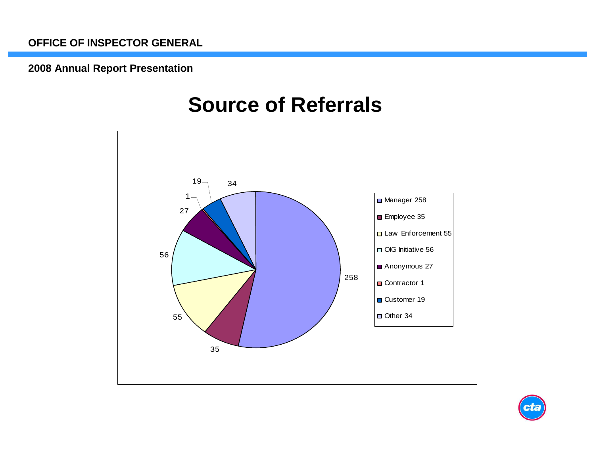# **Source of Referrals**



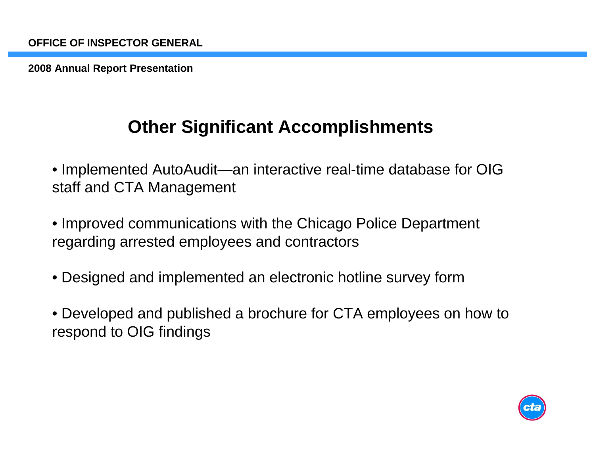### **Other Significant Accomplishments**

- Implemented AutoAudit—an interactive real-time database for OIG staff and CTA Management
- Improved communications with the Chicago Police Department regarding arrested employees and contractors
- Designed and implemented an electronic hotline survey form
- Developed and published a brochure for CTA employees on how to respond to OIG findings

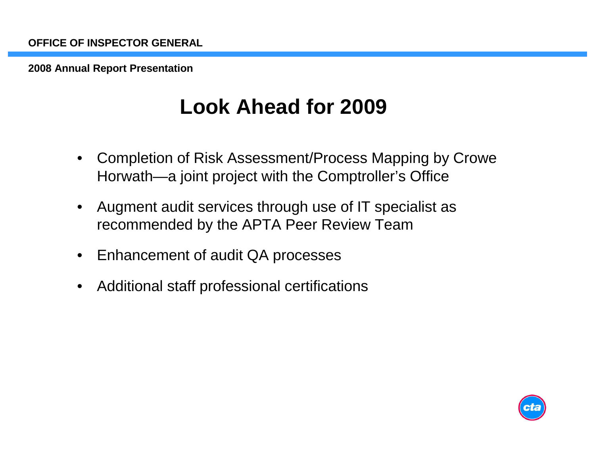# **Look Ahead for 2009**

- • Completion of Risk Assessment/Process Mapping by Crowe Horwath—a joint project with the Comptroller's Office
- • Augment audit services through use of IT specialist as recommended by the APTA Peer Review Team
- •Enhancement of audit QA processes
- •Additional staff professional certifications